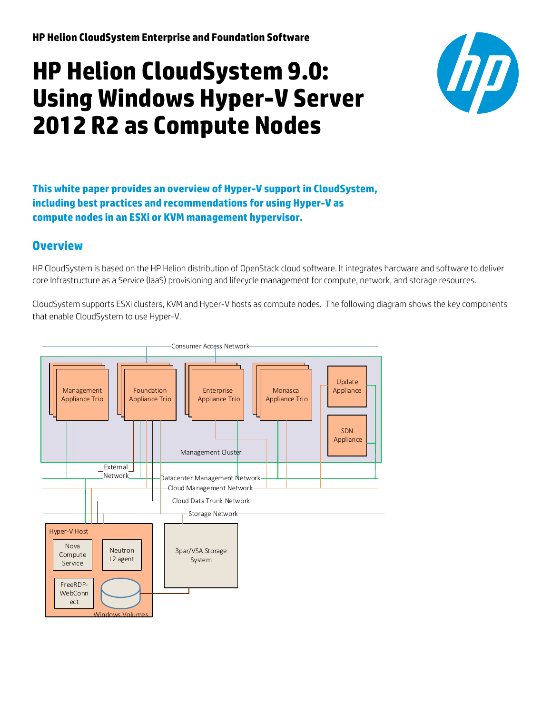# **HP Helion CloudSystem 9.0: Using Windows Hyper-V Server 2012 R2 as Compute Nodes**



**This white paper provides an overview of Hyper-V supportin CloudSystem, including best practices and recommendations for using Hyper-V as compute nodes in an ESXi or KVM management hypervisor.**

# **Overview**

HP CloudSystem is based on the HP Helion distribution of OpenStack cloud software. It integrates hardware and software to deliver core Infrastructure as a Service (IaaS) provisioning and lifecycle management for compute, network, and storage resources.

CloudSystem supports ESXi clusters, KVM and Hyper-V hosts as compute nodes. The following diagram shows the key components that enable CloudSystem to use Hyper-V.

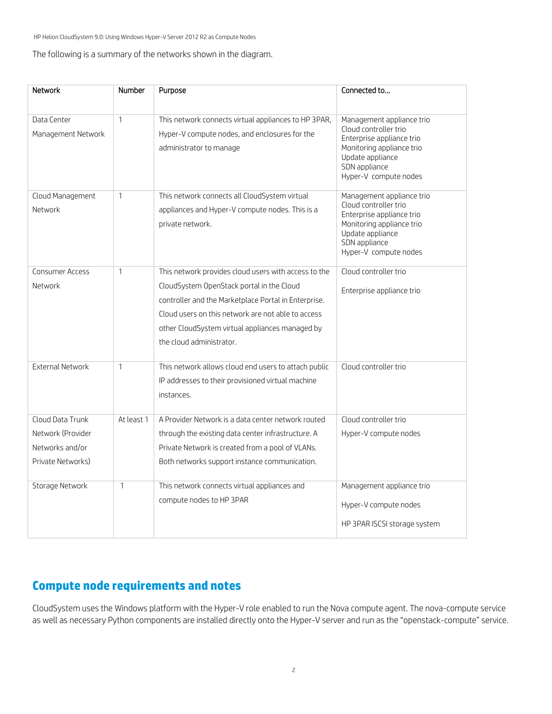#### The following is a summary of the networks shown in the diagram.

| <b>Network</b>                                                                | Number       | Purpose                                                                                                                                                                                                                                                                                        | Connected to                                                                                                                                                               |
|-------------------------------------------------------------------------------|--------------|------------------------------------------------------------------------------------------------------------------------------------------------------------------------------------------------------------------------------------------------------------------------------------------------|----------------------------------------------------------------------------------------------------------------------------------------------------------------------------|
| Data Center<br>Management Network                                             | $\mathbf{1}$ | This network connects virtual appliances to HP 3PAR,<br>Hyper-V compute nodes, and enclosures for the<br>administrator to manage                                                                                                                                                               | Management appliance trio<br>Cloud controller trio<br>Enterprise appliance trio<br>Monitoring appliance trio<br>Update appliance<br>SDN appliance<br>Hyper-V compute nodes |
| Cloud Management<br>Network                                                   | $\mathbf{1}$ | This network connects all CloudSystem virtual<br>appliances and Hyper-V compute nodes. This is a<br>private network.                                                                                                                                                                           | Management appliance trio<br>Cloud controller trio<br>Enterprise appliance trio<br>Monitoring appliance trio<br>Update appliance<br>SDN appliance<br>Hyper-V compute nodes |
| <b>Consumer Access</b><br>Network                                             | $\mathbf{1}$ | This network provides cloud users with access to the<br>CloudSystem OpenStack portal in the Cloud<br>controller and the Marketplace Portal in Enterprise.<br>Cloud users on this network are not able to access<br>other CloudSystem virtual appliances managed by<br>the cloud administrator. | Cloud controller trio<br>Enterprise appliance trio                                                                                                                         |
| <b>External Network</b>                                                       | $\mathbf{1}$ | This network allows cloud end users to attach public<br>IP addresses to their provisioned virtual machine<br>instances.                                                                                                                                                                        | Cloud controller trio                                                                                                                                                      |
| Cloud Data Trunk<br>Network (Provider<br>Networks and/or<br>Private Networks) | At least 1   | A Provider Network is a data center network routed<br>through the existing data center infrastructure. A<br>Private Network is created from a pool of VLANs.<br>Both networks support instance communication.                                                                                  | Cloud controller trio<br>Hyper-V compute nodes                                                                                                                             |
| Storage Network                                                               | $\mathbf{1}$ | This network connects virtual appliances and<br>compute nodes to HP 3PAR                                                                                                                                                                                                                       | Management appliance trio<br>Hyper-V compute nodes<br>HP 3PAR ISCSI storage system                                                                                         |

# **Compute node requirements and notes**

CloudSystem uses the Windows platform with the Hyper-V role enabled to run the Nova compute agent. The nova-compute service as well as necessary Python components are installed directly onto the Hyper-V server and run as the "openstack-compute" service.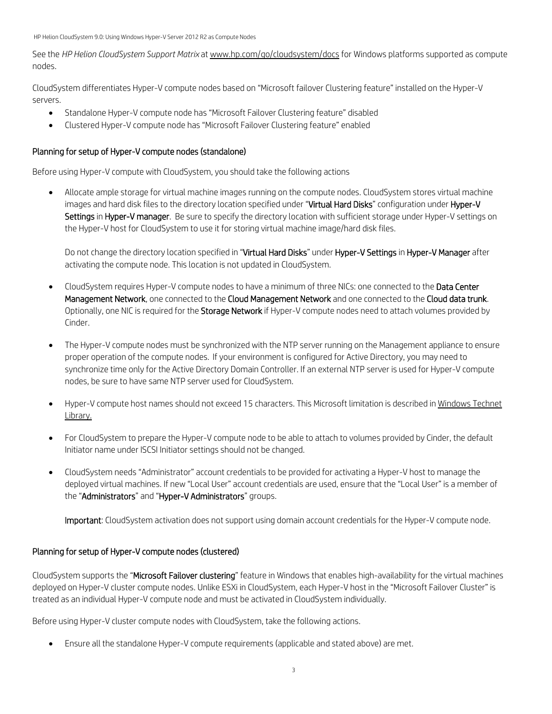See the *HP Helion CloudSystem Support Matrix* a[t www.hp.com/go/cloudsystem/docs](http://www.hp.com/go/cloudsystem/docs) for Windows platforms supported as compute nodes.

CloudSystem differentiates Hyper-V compute nodes based on "Microsoft failover Clustering feature" installed on the Hyper-V servers.

- Standalone Hyper-V compute node has "Microsoft Failover Clustering feature" disabled
- Clustered Hyper-V compute node has "Microsoft Failover Clustering feature" enabled

## Planning for setup of Hyper-V compute nodes (standalone)

Before using Hyper-V compute with CloudSystem, you should take the following actions

• Allocate ample storage for virtual machine images running on the compute nodes. CloudSystem stores virtual machine images and hard disk files to the directory location specified under "Virtual Hard Disks" configuration under Hyper-V Settings in Hyper-V manager. Be sure to specify the directory location with sufficient storage under Hyper-V settings on the Hyper-V host for CloudSystem to use it for storing virtual machine image/hard disk files.

Do not change the directory location specified in "Virtual Hard Disks" under Hyper-V Settings in Hyper-V Manager after activating the compute node. This location is not updated in CloudSystem.

- CloudSystem requires Hyper-V compute nodes to have a minimum of three NICs: one connected to the Data Center Management Network, one connected to the Cloud Management Network and one connected to the Cloud data trunk. Optionally, one NIC is required for the Storage Network if Hyper-V compute nodes need to attach volumes provided by Cinder.
- The Hyper-V compute nodes must be synchronized with the NTP server running on the Management appliance to ensure proper operation of the compute nodes. If your environment is configured for Active Directory, you may need to synchronize time only for the Active Directory Domain Controller. If an external NTP server is used for Hyper-V compute nodes, be sure to have same NTP server used for CloudSystem.
- Hyper-V compute host names should not exceed 15 characters. This Microsoft limitation is described in [Windows Technet](https://technet.microsoft.com/en-us/library/ff715676.aspx)  [Library.](https://technet.microsoft.com/en-us/library/ff715676.aspx)
- For CloudSystem to prepare the Hyper-V compute node to be able to attach to volumes provided by Cinder, the default Initiator name under ISCSI Initiator settings should not be changed.
- CloudSystem needs "Administrator" account credentials to be provided for activating a Hyper-V host to manage the deployed virtual machines. If new "Local User" account credentials are used, ensure that the "Local User" is a member of the "Administrators" and "Hyper-V Administrators" groups.

Important: CloudSystem activation does not support using domain account credentials for the Hyper-V compute node.

## Planning for setup of Hyper-V compute nodes (clustered)

CloudSystem supports the "Microsoft Failover clustering" feature in Windows that enables high-availability for the virtual machines deployed on Hyper-V cluster compute nodes. Unlike ESXi in CloudSystem, each Hyper-V host in the "Microsoft Failover Cluster" is treated as an individual Hyper-V compute node and must be activated in CloudSystem individually.

Before using Hyper-V cluster compute nodes with CloudSystem, take the following actions.

• Ensure all the standalone Hyper-V compute requirements (applicable and stated above) are met.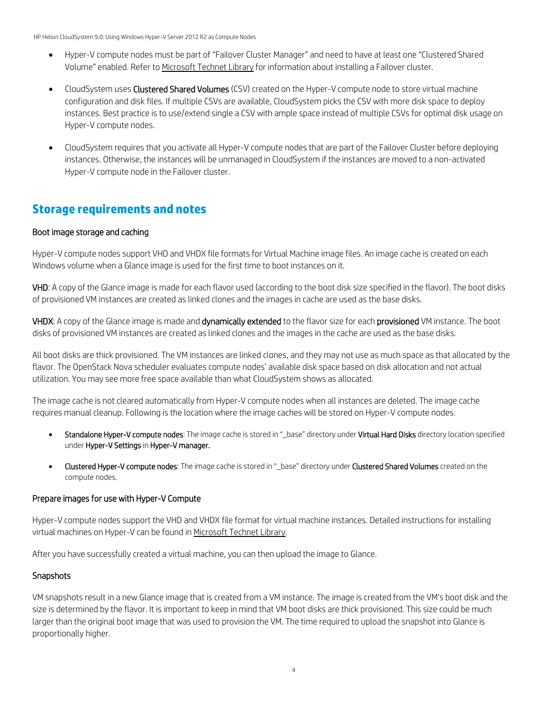- Hyper-V compute nodes must be part of "Failover Cluster Manager" and need to have at least one "Clustered Shared Volume" enabled. Refer t[o Microsoft Technet Library](https://technet.microsoft.com/en-us/library/dn505754.aspx) for information about installing a Failover cluster.
- CloudSystem uses Clustered Shared Volumes (CSV) created on the Hyper-V compute node to store virtual machine configuration and disk files. If multiple CSVs are available, CloudSystem picks the CSV with more disk space to deploy instances. Best practice is to use/extend single a CSV with ample space instead of multiple CSVs for optimal disk usage on Hyper-V compute nodes.
- CloudSystem requires that you activate all Hyper-V compute nodes that are part of the Failover Cluster before deploying instances. Otherwise, the instances will be unmanaged in CloudSystem if the instances are moved to a non-activated Hyper-V compute node in the Failover cluster.

# **Storage requirements and notes**

## Boot image storage and caching

Hyper-V compute nodes support VHD and VHDX file formats for Virtual Machine image files. An image cache is created on each Windows volume when a Glance image is used for the first time to boot instances on it.

VHD: A copy of the Glance image is made for each flavor used (according to the boot disk size specified in the flavor). The boot disks of provisioned VM instances are created as linked clones and the images in cache are used as the base disks.

VHDX: A copy of the Glance image is made and dynamically extended to the flavor size for each provisioned VM instance. The boot disks of provisioned VM instances are created as linked clones and the images in the cache are used as the base disks.

All boot disks are thick provisioned. The VM instances are linked clones, and they may not use as much space as that allocated by the flavor. The OpenStack Nova scheduler evaluates compute nodes' available disk space based on disk allocation and not actual utilization. You may see more free space available than what CloudSystem shows as allocated.

The image cache is not cleared automatically from Hyper-V compute nodes when all instances are deleted. The image cache requires manual cleanup. Following is the location where the image caches will be stored on Hyper-V compute nodes.

- Standalone Hyper-V compute nodes: The image cache is stored in "\_base" directory under Virtual Hard Disks directory location specified under Hyper-V Settings in Hyper-V manager.
- Clustered Hyper-V compute nodes: The image cache is stored in "\_base" directory under Clustered Shared Volumes created on the compute nodes.

# Prepare images for use with Hyper-V Compute

Hyper-V compute nodes support the VHD and VHDX file format for virtual machine instances. Detailed instructions for installing virtual machines on Hyper-V can be found in [Microsoft Technet Library.](http://technet.microsoft.com/en-us/library/cc772480.aspx)

After you have successfully created a virtual machine, you can then upload the image to Glance.

# **Snapshots**

VM snapshots result in a new Glance image that is created from a VM instance. The image is created from the VM's boot disk and the size is determined by the flavor. It is important to keep in mind that VM boot disks are thick provisioned. This size could be much larger than the original boot image that was used to provision the VM. The time required to upload the snapshot into Glance is proportionally higher.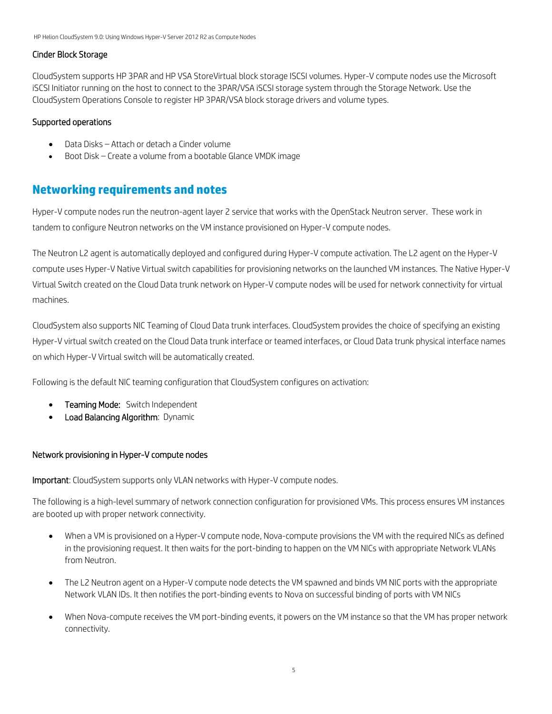## Cinder Block Storage

CloudSystem supports HP 3PAR and HP VSA StoreVirtual block storage ISCSI volumes. Hyper-V compute nodes use the Microsoft iSCSI Initiator running on the host to connect to the 3PAR/VSA iSCSI storage system through the Storage Network. Use the CloudSystem Operations Console to register HP 3PAR/VSA block storage drivers and volume types.

## Supported operations

- Data Disks Attach or detach a Cinder volume
- Boot Disk Create a volume from a bootable Glance VMDK image

# **Networking requirements and notes**

Hyper-V compute nodes run the neutron-agent layer 2 service that works with the OpenStack Neutron server. These work in tandem to configure Neutron networks on the VM instance provisioned on Hyper-V compute nodes.

The Neutron L2 agent is automatically deployed and configured during Hyper-V compute activation. The L2 agent on the Hyper-V compute uses Hyper-V Native Virtual switch capabilities for provisioning networks on the launched VM instances. The Native Hyper-V Virtual Switch created on the Cloud Data trunk network on Hyper-V compute nodes will be used for network connectivity for virtual machines.

CloudSystem also supports NIC Teaming of Cloud Data trunk interfaces. CloudSystem provides the choice of specifying an existing Hyper-V virtual switch created on the Cloud Data trunk interface or teamed interfaces, or Cloud Data trunk physical interface names on which Hyper-V Virtual switch will be automatically created.

Following is the default NIC teaming configuration that CloudSystem configures on activation:

- **Teaming Mode:** Switch Independent
- Load Balancing Algorithm: Dynamic

## Network provisioning in Hyper-V compute nodes

Important: CloudSystem supports only VLAN networks with Hyper-V compute nodes.

The following is a high-level summary of network connection configuration for provisioned VMs. This process ensures VM instances are booted up with proper network connectivity.

- When a VM is provisioned on a Hyper-V compute node, Nova-compute provisions the VM with the required NICs as defined in the provisioning request. It then waits for the port-binding to happen on the VM NICs with appropriate Network VLANs from Neutron.
- The L2 Neutron agent on a Hyper-V compute node detects the VM spawned and binds VM NIC ports with the appropriate Network VLAN IDs. It then notifies the port-binding events to Nova on successful binding of ports with VM NICs
- When Nova-compute receives the VM port-binding events, it powers on the VM instance so that the VM has proper network connectivity.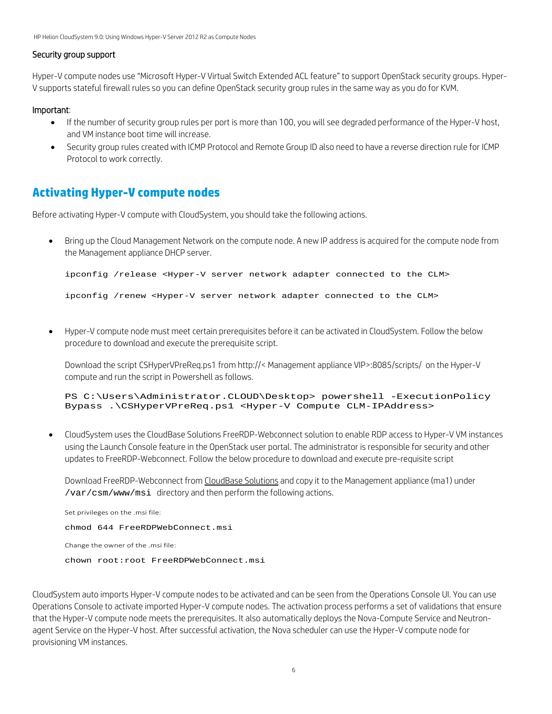#### Security group support

Hyper-V compute nodes use "Microsoft Hyper-V Virtual Switch Extended ACL feature" to support OpenStack security groups. Hyper-V supports stateful firewall rules so you can define OpenStack security group rules in the same way as you do for KVM.

#### Important:

- If the number of security group rules per port is more than 100, you will see degraded performance of the Hyper-V host, and VM instance boot time will increase.
- Security group rules created with ICMP Protocol and Remote Group ID also need to have a reverse direction rule for ICMP Protocol to work correctly.

# **Activating Hyper-V compute nodes**

Before activating Hyper-V compute with CloudSystem, you should take the following actions.

• Bring up the Cloud Management Network on the compute node. A new IP address is acquired for the compute node from the Management appliance DHCP server.

```
ipconfig /release <Hyper-V server network adapter connected to the CLM>
```
ipconfig /renew <Hyper-V server network adapter connected to the CLM>

• Hyper-V compute node must meet certain prerequisites before it can be activated in CloudSystem. Follow the below procedure to download and execute the prerequisite script.

Download the script CSHyperVPreReq.ps1 from http://< Management appliance VIP>:8085/scripts/ on the Hyper-V compute and run the script in Powershell as follows.

```
PS C:\Users\Administrator.CLOUD\Desktop> powershell -ExecutionPolicy
Bypass .\CSHyperVPreReq.ps1 <Hyper-V Compute CLM-IPAddress>
```
• CloudSystem uses the CloudBase Solutions FreeRDP-Webconnect solution to enable RDP access to Hyper-V VM instances using the Launch Console feature in the OpenStack user portal. The administrator is responsible for security and other updates to FreeRDP-Webconnect. Follow the below procedure to download and execute pre-requisite script

Download FreeRDP-Webconnect from [CloudBase Solutions](https://www.cloudbase.it/downloads/FreeRDPWebConnect.msi) and copy it to the Management appliance (ma1) under /var/csm/www/msi directory and then perform the following actions.

```
Set privileges on the .msi file:
chmod 644 FreeRDPWebConnect.msi
Change the owner of the .msi file:
chown root:root FreeRDPWebConnect.msi
```
CloudSystem auto imports Hyper-V compute nodes to be activated and can be seen from the Operations Console UI. You can use Operations Console to activate imported Hyper-V compute nodes. The activation process performs a set of validations that ensure that the Hyper-V compute node meets the prerequisites. It also automatically deploys the Nova-Compute Service and Neutronagent Service on the Hyper-V host. After successful activation, the Nova scheduler can use the Hyper-V compute node for provisioning VM instances.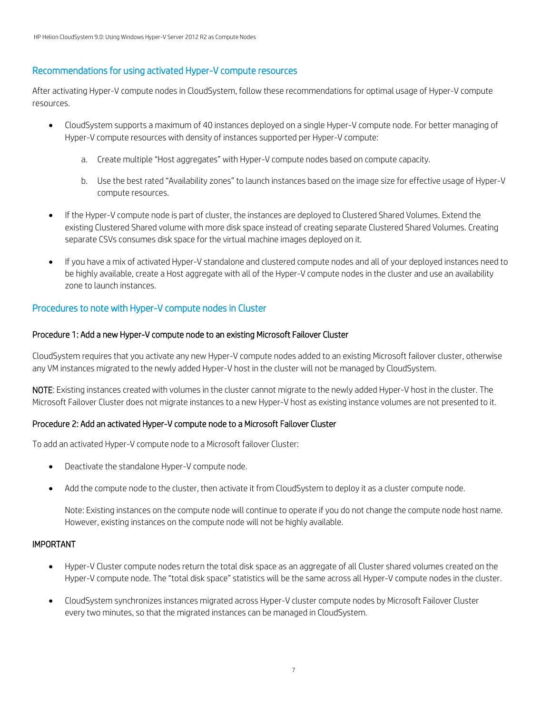# Recommendations for using activated Hyper-V compute resources

After activating Hyper-V compute nodes in CloudSystem, follow these recommendations for optimal usage of Hyper-V compute resources.

- CloudSystem supports a maximum of 40 instances deployed on a single Hyper-V compute node. For better managing of Hyper-V compute resources with density of instances supported per Hyper-V compute:
	- a. Create multiple "Host aggregates" with Hyper-V compute nodes based on compute capacity.
	- b. Use the best rated "Availability zones" to launch instances based on the image size for effective usage of Hyper-V compute resources.
- If the Hyper-V compute node is part of cluster, the instances are deployed to Clustered Shared Volumes. Extend the existing Clustered Shared volume with more disk space instead of creating separate Clustered Shared Volumes. Creating separate CSVs consumes disk space for the virtual machine images deployed on it.
- If you have a mix of activated Hyper-V standalone and clustered compute nodes and all of your deployed instances need to be highly available, create a Host aggregate with all of the Hyper-V compute nodes in the cluster and use an availability zone to launch instances.

# Procedures to note with Hyper-V compute nodes in Cluster

## Procedure 1: Add a new Hyper-V compute node to an existing Microsoft Failover Cluster

CloudSystem requires that you activate any new Hyper-V compute nodes added to an existing Microsoft failover cluster, otherwise any VM instances migrated to the newly added Hyper-V host in the cluster will not be managed by CloudSystem.

NOTE: Existing instances created with volumes in the cluster cannot migrate to the newly added Hyper-V host in the cluster. The Microsoft Failover Cluster does not migrate instances to a new Hyper-V host as existing instance volumes are not presented to it.

## Procedure 2: Add an activated Hyper-V compute node to a Microsoft Failover Cluster

To add an activated Hyper-V compute node to a Microsoft failover Cluster:

- Deactivate the standalone Hyper-V compute node.
- Add the compute node to the cluster, then activate it from CloudSystem to deploy it as a cluster compute node.

Note: Existing instances on the compute node will continue to operate if you do not change the compute node host name. However, existing instances on the compute node will not be highly available.

#### IMPORTANT

- Hyper-V Cluster compute nodes return the total disk space as an aggregate of all Cluster shared volumes created on the Hyper-V compute node. The "total disk space" statistics will be the same across all Hyper-V compute nodes in the cluster.
- CloudSystem synchronizes instances migrated across Hyper-V cluster compute nodes by Microsoft Failover Cluster every two minutes, so that the migrated instances can be managed in CloudSystem.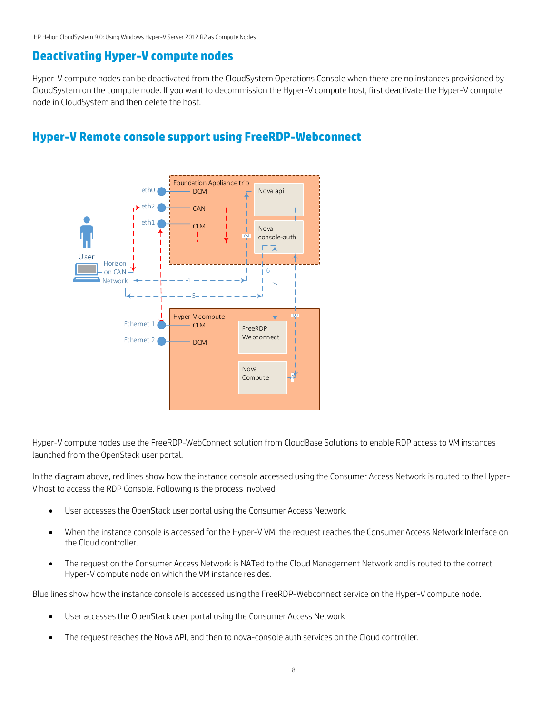# **Deactivating Hyper-V compute nodes**

Hyper-V compute nodes can be deactivated from the CloudSystem Operations Console when there are no instances provisioned by CloudSystem on the compute node. If you want to decommission the Hyper-V compute host, first deactivate the Hyper-V compute node in CloudSystem and then delete the host.



# **Hyper-V Remote console support using FreeRDP-Webconnect**

Hyper-V compute nodes use the FreeRDP-WebConnect solution from CloudBase Solutions to enable RDP access to VM instances launched from the OpenStack user portal.

In the diagram above, red lines show how the instance console accessed using the Consumer Access Network is routed to the Hyper-V host to access the RDP Console. Following is the process involved

- User accesses the OpenStack user portal using the Consumer Access Network.
- When the instance console is accessed for the Hyper-V VM, the request reaches the Consumer Access Network Interface on the Cloud controller.
- The request on the Consumer Access Network is NATed to the Cloud Management Network and is routed to the correct Hyper-V compute node on which the VM instance resides.

Blue lines show how the instance console is accessed using the FreeRDP-Webconnect service on the Hyper-V compute node.

- User accesses the OpenStack user portal using the Consumer Access Network
- The request reaches the Nova API, and then to nova-console auth services on the Cloud controller.